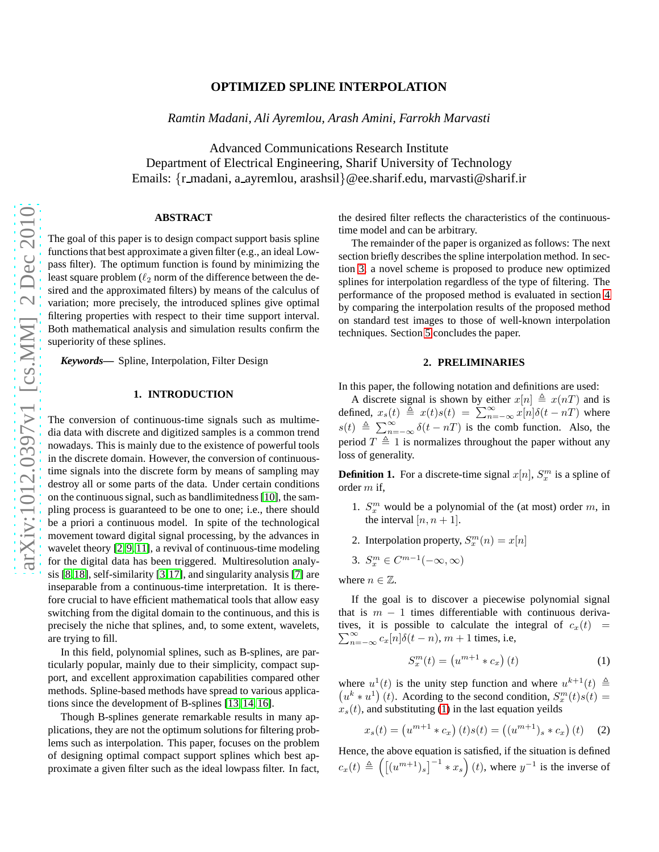## **OPTIMIZED SPLINE INTERPOLATION**

*Ramtin Madani, Ali Ayremlou, Arash Amini, Farrokh Marvasti*

Advanced Communications Research Institute Department of Electrical Engineering, Sharif University of Technology Emails: {r\_madani, a\_ayremlou, arashsil}@ee.sharif.edu, marvasti@sharif.ir

#### **ABSTRACT**

The goal of this paper is to design compact support basis spline functions that best approximate a given filter (e.g., an ideal Lowpass filter). The optimum function is found by minimizing the least square problem ( $\ell_2$  norm of the difference between the desired and the approximated filters) by means of the calculus of variation; more precisely, the introduced splines give optimal filtering properties with respect to their time support interval. Both mathematical analysis and simulation results confirm the superiority of these splines.

*Keywords***—** Spline, Interpolation, Filter Design

#### **1. INTRODUCTION**

The conversion of continuous-time signals such as multimedia data with discrete and digitized samples is a common trend nowadays. This is mainly due to the existence of powerful tools in the discrete domain. However, the conversion of continuoustime signals into the discrete form by means of sampling may destroy all or some parts of the data. Under certain conditions on the continuous signal, such as bandlimitedness [\[10\]](#page-3-0), the sampling process is guaranteed to be one to one; i.e., there should be a priori a continuous model. In spite of the technological movement toward digital signal processing, by the advances in wavelet theory [\[2,](#page-3-1) [9,](#page-3-2) [11\]](#page-3-3), a revival of continuous-time modeling for the digital data has been triggered. Multiresolution analysis [\[8,](#page-3-4)[18\]](#page-3-5), self-similarity [\[3,](#page-3-6)[17\]](#page-3-7), and singularity analysis [\[7\]](#page-3-8) are inseparable from a continuous-time interpretation. It is therefore crucial to have efficient mathematical tools that allow easy switching from the digital domain to the continuous, and this is precisely the niche that splines, and, to some extent, wavelets, are trying to fill.

In this field, polynomial splines, such as B-splines, are particularly popular, mainly due to their simplicity, compact support, and excellent approximation capabilities compared other methods. Spline-based methods have spread to various applications since the development of B-splines [\[13,](#page-3-9) [14,](#page-3-10) [16\]](#page-3-11).

Though B-splines generate remarkable results in many applications, they are not the optimum solutions for filtering problems such as interpolation. This paper, focuses on the problem of designing optimal compact support splines which best approximate a given filter such as the ideal lowpass filter. In fact, the desired filter reflects the characteristics of the continuoustime model and can be arbitrary.

The remainder of the paper is organized as follows: The next section briefly describes the spline interpolation method. In section [3,](#page-1-0) a novel scheme is proposed to produce new optimized splines for interpolation regardless of the type of filtering. The performance of the proposed method is evaluated in section [4](#page-2-0) by comparing the interpolation results of the proposed method on standard test images to those of well-known interpolation techniques. Section [5](#page-3-12) concludes the paper.

#### **2. PRELIMINARIES**

In this paper, the following notation and definitions are used:

A discrete signal is shown by either  $x[n] \triangleq x(nT)$  and is defined,  $x_s(t) \triangleq x(t)s(t) = \sum_{n=-\infty}^{\infty} x[n]\delta(t - nT)$  where  $s(t) \triangleq \sum_{n=-\infty}^{\infty} \delta(t - nT)$  is the comb function. Also, the period  $T \triangleq 1$  is normalizes throughout the paper without any loss of generality.

**Definition 1.** For a discrete-time signal  $x[n]$ ,  $S_x^m$  is a spline of order m if,

- 1.  $S_x^m$  would be a polynomial of the (at most) order m, in the interval  $[n, n+1]$ .
- 2. Interpolation property,  $S_x^m(n) = x[n]$

$$
3. S_x^m \in C^{m-1}(-\infty, \infty)
$$

where  $n \in \mathbb{Z}$ .

If the goal is to discover a piecewise polynomial signal that is  $m - 1$  times differentiable with continuous derivatives, it is possible to calculate the integral of  $c_x(t)$  =  $\sum_{n=-\infty}^{\infty} c_x[n] \delta(t-n)$ ,  $m+1$  times, i.e,

<span id="page-0-0"></span>
$$
S_x^m(t) = \left(u^{m+1} * c_x\right)(t) \tag{1}
$$

where  $u^1(t)$  is the unity step function and where  $u^{k+1}(t) \triangleq$  $(u^k * u^1)(t)$ . Acording to the second condition,  $S_x^m(t)s(t) =$  $x<sub>s</sub>(t)$ , and substituting [\(1\)](#page-0-0) in the last equation yeilds

$$
x_s(t) = (u^{m+1} * c_x) (t) s(t) = ((u^{m+1})_s * c_x) (t) \quad (2)
$$

Hence, the above equation is satisfied, if the situation is defined  $c_x(t) \triangleq \left( \left[ (u^{m+1})_s \right]^{-1} * x_s \right) (t)$ , where  $y^{-1}$  is the inverse of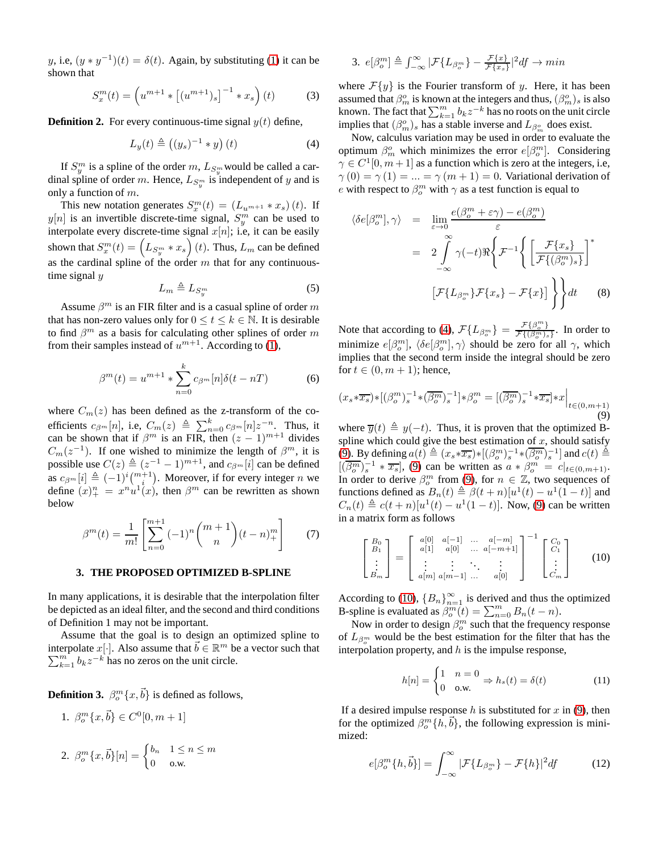y, i.e,  $(y * y^{-1})(t) = \delta(t)$ . Again, by substituting [\(1\)](#page-0-0) it can be shown that

$$
S_x^m(t) = \left( u^{m+1} * \left[ (u^{m+1})_s \right]^{-1} * x_s \right)(t) \tag{3}
$$

**Definition 2.** For every continuous-time signal  $y(t)$  define,

<span id="page-1-1"></span>
$$
L_y(t) \triangleq \left( (y_s)^{-1} * y \right)(t) \tag{4}
$$

If  $S_y^m$  is a spline of the order m,  $L_{S_y^m}$  would be called a cardinal spline of order m. Hence,  $L_{S_y^m}$  is independent of y and is only a function of  $m$ .

This new notation generates  $S_x^m(t) = (L_{u^{m+1}} * x_s)(t)$ . If  $y[n]$  is an invertible discrete-time signal,  $S_y^m$  can be used to interpolate every discrete-time signal  $x[n]$ ; i.e, it can be easily shown that  $S_x^m(t) = \left( L_{S_y^m} * x_s \right)(t)$ . Thus,  $L_m$  can be defined as the cardinal spline of the order  $m$  that for any continuoustime signal y

$$
L_m \triangleq L_{S_y^m} \tag{5}
$$

Assume  $\beta^m$  is an FIR filter and is a casual spline of order m that has non-zero values only for  $0 \le t \le k \in \mathbb{N}$ . It is desirable to find  $\beta^m$  as a basis for calculating other splines of order m from their samples instead of  $u^{m+1}$ . According to [\(1\)](#page-0-0),

$$
\beta^{m}(t) = u^{m+1} * \sum_{n=0}^{k} c_{\beta^{m}}[n] \delta(t - n)
$$
 (6)

where  $C_m(z)$  has been defined as the z-transform of the coefficients  $c_{\beta^m}[n]$ , i.e,  $C_m(z) \triangleq \sum_{n=0}^k c_{\beta^m}[n]z^{-n}$ . Thus, it can be shown that if  $\beta^m$  is an FIR, then  $(z-1)^{m+1}$  divides  $C_m(z^{-1})$ . If one wished to minimize the length of  $\beta^m$ , it is possible use  $C(z) \triangleq (z^{-1} - 1)^{m+1}$ , and  $c_{\beta^m}[i]$  can be defined as  $c_{\beta^m}[i] \triangleq (-1)^i \binom{m+1}{i}$ . Moreover, if for every integer n we define  $(x)_+^n = x^n u^1(x)$ , then  $\beta^m$  can be rewritten as shown below

$$
\beta^{m}(t) = \frac{1}{m!} \left[ \sum_{n=0}^{m+1} (-1)^{n} {m+1 \choose n} (t-n)_{+}^{m} \right]
$$
(7)

#### <span id="page-1-0"></span>**3. THE PROPOSED OPTIMIZED B-SPLINE**

In many applications, it is desirable that the interpolation filter be depicted as an ideal filter, and the second and third conditions of Definition 1 may not be important.

Assume that the goal is to design an optimized spline to interpolate x[·]. Also assume that  $\vec{b} \in \mathbb{R}^m$  be a vector such that  $\sum_{k=1}^{m} b_k z^{-k}$  has no zeros on the unit circle.

**Definition 3.**  $\beta_o^m\{x,\vec{b}\}\$ is defined as follows,

1. 
$$
\beta_o^m \{x, \vec{b}\}\in C^0[0, m+1]
$$

2. 
$$
\beta_o^m\{x,\vec{b}\}[n] = \begin{cases} b_n & 1 \le n \le m \\ 0 & \text{o.w.} \end{cases}
$$

3. 
$$
e[\beta_o^m] \triangleq \int_{-\infty}^{\infty} |\mathcal{F}\{L_{\beta_o^m}\} - \frac{\mathcal{F}\{x\}}{\mathcal{F}\{x_s\}}|^2 df \to min
$$

where  $\mathcal{F}\lbrace y \rbrace$  is the Fourier transform of y. Here, it has been assumed that  $\beta_m^o$  is known at the integers and thus,  $(\beta_m^o)_s$  is also known. The fact that  $\sum_{k=1}^{m} b_k z^{-k}$  has no roots on the unit circle implies that  $(\beta_m^o)_s$  has a stable inverse and  $L_{\beta_m^o}$  does exist.

Now, calculus variation may be used in order to evaluate the optimum  $\beta_m^o$  which minimizes the error  $e[\beta_o^m]$ . Considering  $\gamma \in C^1[0, m+1]$  as a function which is zero at the integers, i.e,  $\gamma(0) = \gamma(1) = ... = \gamma(m + 1) = 0$ . Variational derivation of e with respect to  $\beta_o^m$  with  $\gamma$  as a test function is equal to

$$
\langle \delta e[\beta_o^m], \gamma \rangle = \lim_{\varepsilon \to 0} \frac{e(\beta_o^m + \varepsilon \gamma) - e(\beta_o^m)}{\varepsilon}
$$
  

$$
= 2 \int_{-\infty}^{\infty} \gamma(-t) \Re \left\{ \mathcal{F}^{-1} \left\{ \left[ \frac{\mathcal{F}\{x_s\}}{\mathcal{F}\{(\beta_o^m)_s\}} \right]^* \right\}
$$
  

$$
[\mathcal{F}\{L_{\beta_o^m}\} \mathcal{F}\{x_s\} - \mathcal{F}\{x\} ] \right\} dt
$$
 (8)

Note that according to [\(4\)](#page-1-1),  $\mathcal{F}\lbrace L_{\beta_o^m} \rbrace = \frac{\mathcal{F}\lbrace \beta_o^m \rbrace}{\mathcal{F}\lbrace (\beta_o^m) \rbrace}$  $\frac{\mathcal{F}\{\beta_o\}}{\mathcal{F}\{(\beta_o^m)_s\}}$ . In order to minimize  $e[\beta_o^m]$ ,  $\langle \delta e[\beta_o^m], \gamma \rangle$  should be zero for all  $\gamma$ , which implies that the second term inside the integral should be zero for  $t \in (0, m + 1)$ ; hence,

<span id="page-1-2"></span>
$$
(x_s \ast \overline{x_s}) \ast [(\beta_o^m)_s^{-1} \ast (\overline{\beta_o^m})_s^{-1}] \ast \beta_o^m = [(\overline{\beta_o^m})_s^{-1} \ast \overline{x_s}] \ast x \Big|_{t \in (0, m+1)}
$$
\n(9)

where  $\overline{y}(t) \triangleq y(-t)$ . Thus, it is proven that the optimized Bspline which could give the best estimation of  $x$ , should satisfy [\(9\)](#page-1-2). By defining  $a(t) \triangleq (x_s * \overline{x_s}) * [(\beta_o^m)_s^{-1} * (\overline{\beta_o^m})_s^{-1}]$  and  $c(t) \triangleq$  $[(\overline{\beta_o^m})_s^{-1} * \overline{x_s}]$ , [\(9\)](#page-1-2) can be written as  $a * \beta_o^m = c|_{t \in (0,m+1)}$ . In order to derive  $\beta_o^m$  from [\(9\)](#page-1-2), for  $n \in \mathbb{Z}$ , two sequences of functions defined as  $B_n(t) \triangleq \beta(t+n)[u^1(t) - u^1(1-t)]$  and  $C_n(t) \triangleq c(t+n)[u^1(t) - u^1(1-t)].$  Now, [\(9\)](#page-1-2) can be written in a matrix form as follows

<span id="page-1-3"></span>
$$
\begin{bmatrix}\nB_0 \\
B_1 \\
\vdots \\
B_m\n\end{bmatrix} = \begin{bmatrix}\na[0] & a[-1] & \dots & a[-m] \\
a[1] & a[0] & \dots & a[-m+1] \\
\vdots & \vdots & \ddots & \vdots \\
a[m] & a[m-1] & \dots & a[0]\n\end{bmatrix}^{-1} \begin{bmatrix}\nC_0 \\
C_1 \\
\vdots \\
C_m\n\end{bmatrix}
$$
\n(10)

According to [\(10\)](#page-1-3),  ${B_n}_{n=1}^{\infty}$  is derived and thus the optimized B-spline is evaluated as  $\beta_0^m(t) = \sum_{n=0}^m B_n(t - n)$ .

Now in order to design  $\beta_o^m$  such that the frequency response of  $L_{\beta_m^m}$  would be the best estimation for the filter that has the interpolation property, and  $h$  is the impulse response,

$$
h[n] = \begin{cases} 1 & n = 0 \\ 0 & \text{o.w.} \end{cases} \Rightarrow h_s(t) = \delta(t) \tag{11}
$$

If a desired impulse response h is substituted for x in  $(9)$ , then for the optimized  $\beta_o^m\{\tilde{h}, \vec{b}\}$ , the following expression is minimized:

$$
e[\beta_o^m\{h,\vec{b}\}] = \int_{-\infty}^{\infty} |\mathcal{F}\{L_{\beta_o^m}\} - \mathcal{F}\{h\}|^2 df \qquad (12)
$$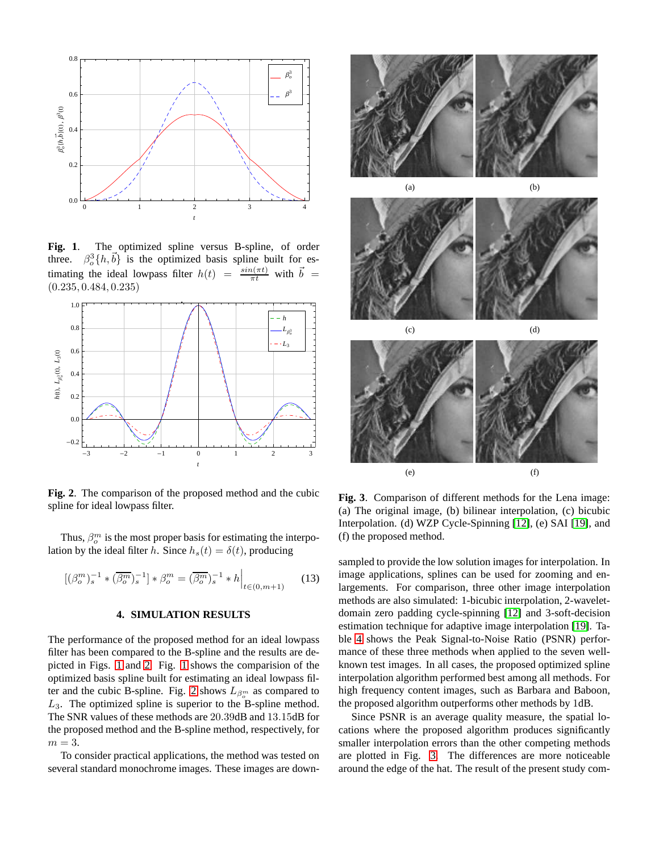

<span id="page-2-1"></span>**Fig. 1**. The optimized spline versus B-spline, of order three.  ${}_{o}^{3}\lbrace h,\vec{b}\rbrace$  is the optimized basis spline built for estimating the ideal lowpass filter  $h(t) = \frac{\sin(\pi t)}{\pi t}$  with  $\vec{b} =$ (0.235, 0.484, 0.235)



<span id="page-2-2"></span>**Fig. 2**. The comparison of the proposed method and the cubic spline for ideal lowpass filter.

Thus,  $\beta_o^m$  is the most proper basis for estimating the interpolation by the ideal filter h. Since  $h_s(t) = \delta(t)$ , producing

$$
[(\beta_o^m)_s^{-1} * (\overline{\beta_o^m})_s^{-1}] * \beta_o^m = (\overline{\beta_o^m})_s^{-1} * h \Big|_{t \in (0, m+1)} \tag{13}
$$

## **4. SIMULATION RESULTS**

<span id="page-2-0"></span>The performance of the proposed method for an ideal lowpass filter has been compared to the B-spline and the results are depicted in Figs. [1](#page-2-1) and [2.](#page-2-2) Fig. [1](#page-2-1) shows the comparision of the optimized basis spline built for estimating an ideal lowpass fil-ter and the cubic B-spline. Fig. [2](#page-2-2) shows  $L_{\beta_o^m}$  as compared to  $L_3$ . The optimized spline is superior to the B-spline method. The SNR values of these methods are 20.39dB and 13.15dB for the proposed method and the B-spline method, respectively, for  $m = 3$ .

To consider practical applications, the method was tested on several standard monochrome images. These images are down-



<span id="page-2-3"></span>**Fig. 3**. Comparison of different methods for the Lena image: (a) The original image, (b) bilinear interpolation, (c) bicubic Interpolation. (d) WZP Cycle-Spinning [\[12\]](#page-3-13), (e) SAI [\[19\]](#page-3-14), and (f) the proposed method.

sampled to provide the low solution images for interpolation. In image applications, splines can be used for zooming and enlargements. For comparison, three other image interpolation methods are also simulated: 1-bicubic interpolation, 2-waveletdomain zero padding cycle-spinning [\[12\]](#page-3-13) and 3-soft-decision estimation technique for adaptive image interpolation [\[19\]](#page-3-14). Table [4](#page-2-3) shows the Peak Signal-to-Noise Ratio (PSNR) performance of these three methods when applied to the seven wellknown test images. In all cases, the proposed optimized spline interpolation algorithm performed best among all methods. For high frequency content images, such as Barbara and Baboon, the proposed algorithm outperforms other methods by 1dB.

Since PSNR is an average quality measure, the spatial locations where the proposed algorithm produces significantly smaller interpolation errors than the other competing methods are plotted in Fig. [3.](#page-2-3) The differences are more noticeable around the edge of the hat. The result of the present study com